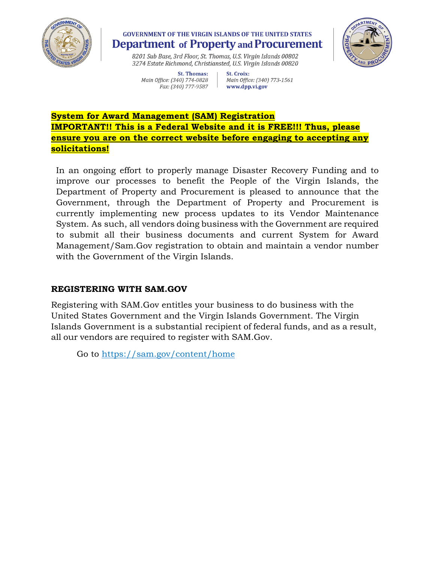

## **GOVERNMENT OF THE VIRGIN ISLANDS OF THE UNITED STATES Department of Property and Procurement**



8201 Sub Base, 3rd Floor, St. Thomas, U.S. Virgin Islands 00802 3274 Estate Richmond, Christiansted, U.S. Virgin Islands 00820

St. Thomas: Main Office: (340) 774-0828 Fax: (340) 777-9587

St. Croix: Main Office: (340) 773-1561 www.dpp.vi.gov

## **System for Award Management (SAM) Registration IMPORTANT!! This is a Federal Website and it is FREE!!! Thus, please ensure you are on the correct website before engaging to accepting any solicitations!**

In an ongoing effort to properly manage Disaster Recovery Funding and to improve our processes to benefit the People of the Virgin Islands, the Department of Property and Procurement is pleased to announce that the Government, through the Department of Property and Procurement is currently implementing new process updates to its Vendor Maintenance System. As such, all vendors doing business with the Government are required to submit all their business documents and current System for Award Management/Sam.Gov registration to obtain and maintain a vendor number with the Government of the Virgin Islands.

## **REGISTERING WITH SAM.GOV**

Registering with SAM.Gov entitles your business to do business with the United States Government and the Virgin Islands Government. The Virgin Islands Government is a substantial recipient of federal funds, and as a result, all our vendors are required to register with SAM.Gov.

Go to<https://sam.gov/content/home>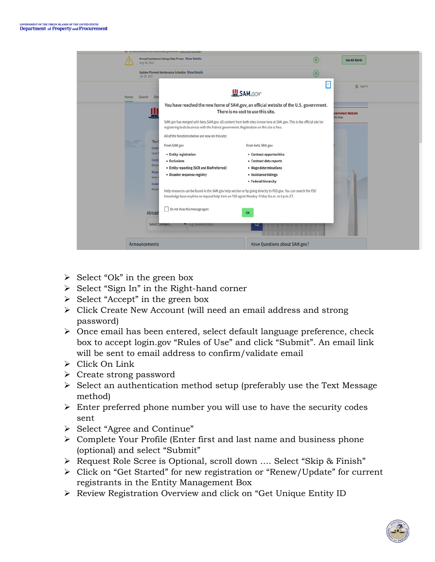

- $\triangleright$  Select "Ok" in the green box
- $\triangleright$  Select "Sign In" in the Right-hand corner
- $\triangleright$  Select "Accept" in the green box
- Click Create New Account (will need an email address and strong password)
- $\triangleright$  Once email has been entered, select default language preference, check box to accept login.gov "Rules of Use" and click "Submit". An email link will be sent to email address to confirm/validate email
- Click On Link
- $\triangleright$  Create strong password
- $\triangleright$  Select an authentication method setup (preferably use the Text Message method)
- $\triangleright$  Enter preferred phone number you will use to have the security codes sent
- Select "Agree and Continue"
- $\triangleright$  Complete Your Profile (Enter first and last name and business phone (optional) and select "Submit"
- Request Role Scree is Optional, scroll down …. Select "Skip & Finish"
- Click on "Get Started" for new registration or "Renew/Update" for current registrants in the Entity Management Box
- Review Registration Overview and click on "Get Unique Entity ID

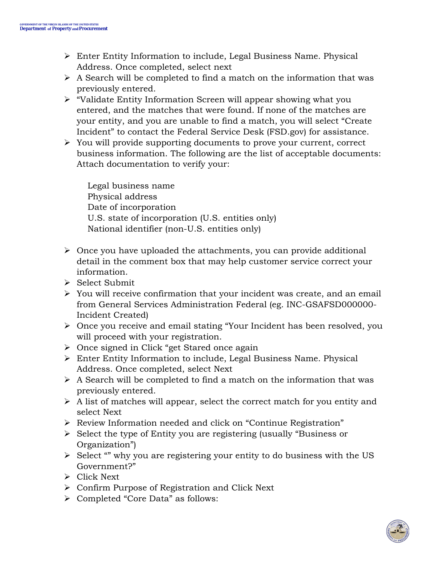- Enter Entity Information to include, Legal Business Name. Physical Address. Once completed, select next
- $\triangleright$  A Search will be completed to find a match on the information that was previously entered.
- "Validate Entity Information Screen will appear showing what you entered, and the matches that were found. If none of the matches are your entity, and you are unable to find a match, you will select "Create Incident" to contact the Federal Service Desk (FSD.gov) for assistance.
- $\triangleright$  You will provide supporting documents to prove your current, correct business information. The following are the list of acceptable documents: Attach documentation to verify your:

 Legal business name Physical address Date of incorporation U.S. state of incorporation (U.S. entities only) National identifier (non-U.S. entities only)

- $\triangleright$  Once you have uploaded the attachments, you can provide additional detail in the comment box that may help customer service correct your information.
- $\triangleright$  Select Submit
- $\triangleright$  You will receive confirmation that your incident was create, and an email from General Services Administration Federal (eg. INC-GSAFSD000000- Incident Created)
- Once you receive and email stating "Your Incident has been resolved, you will proceed with your registration.
- $\triangleright$  Once signed in Click "get Stared once again
- Enter Entity Information to include, Legal Business Name. Physical Address. Once completed, select Next
- $\triangleright$  A Search will be completed to find a match on the information that was previously entered.
- $\triangleright$  A list of matches will appear, select the correct match for you entity and select Next
- Review Information needed and click on "Continue Registration"
- $\triangleright$  Select the type of Entity you are registering (usually "Business or Organization")
- $\triangleright$  Select "" why you are registering your entity to do business with the US Government?"
- Click Next
- Confirm Purpose of Registration and Click Next
- Completed "Core Data" as follows: